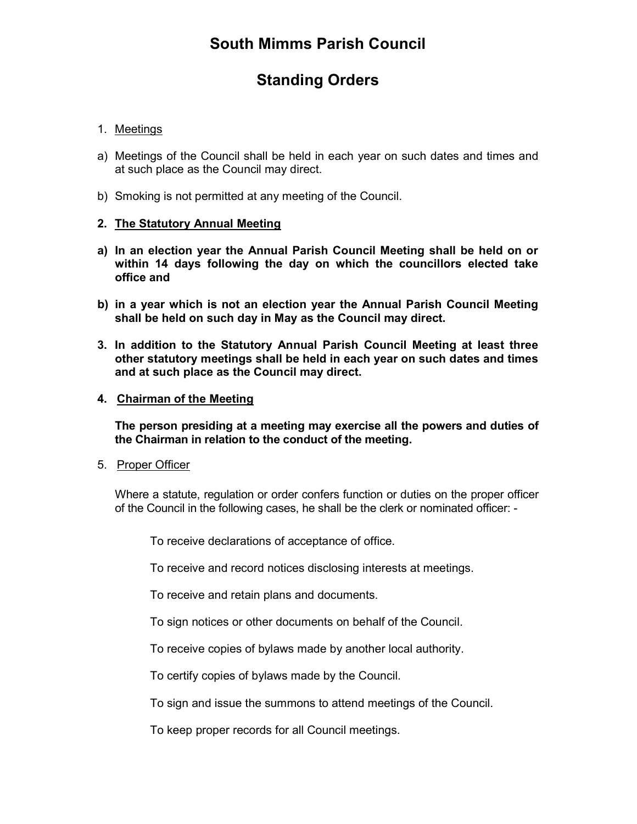# Standing Orders

# 1. Meetings

- a) Meetings of the Council shall be held in each year on such dates and times and at such place as the Council may direct.
- b) Smoking is not permitted at any meeting of the Council.

#### 2. The Statutory Annual Meeting

- a) In an election year the Annual Parish Council Meeting shall be held on or within 14 days following the day on which the councillors elected take office and
- b) in a year which is not an election year the Annual Parish Council Meeting shall be held on such day in May as the Council may direct.
- 3. In addition to the Statutory Annual Parish Council Meeting at least three other statutory meetings shall be held in each year on such dates and times and at such place as the Council may direct.
- 4. Chairman of the Meeting

 The person presiding at a meeting may exercise all the powers and duties of the Chairman in relation to the conduct of the meeting.

5. Proper Officer

Where a statute, regulation or order confers function or duties on the proper officer of the Council in the following cases, he shall be the clerk or nominated officer: -

To receive declarations of acceptance of office.

To receive and record notices disclosing interests at meetings.

To receive and retain plans and documents.

To sign notices or other documents on behalf of the Council.

To receive copies of bylaws made by another local authority.

To certify copies of bylaws made by the Council.

To sign and issue the summons to attend meetings of the Council.

To keep proper records for all Council meetings.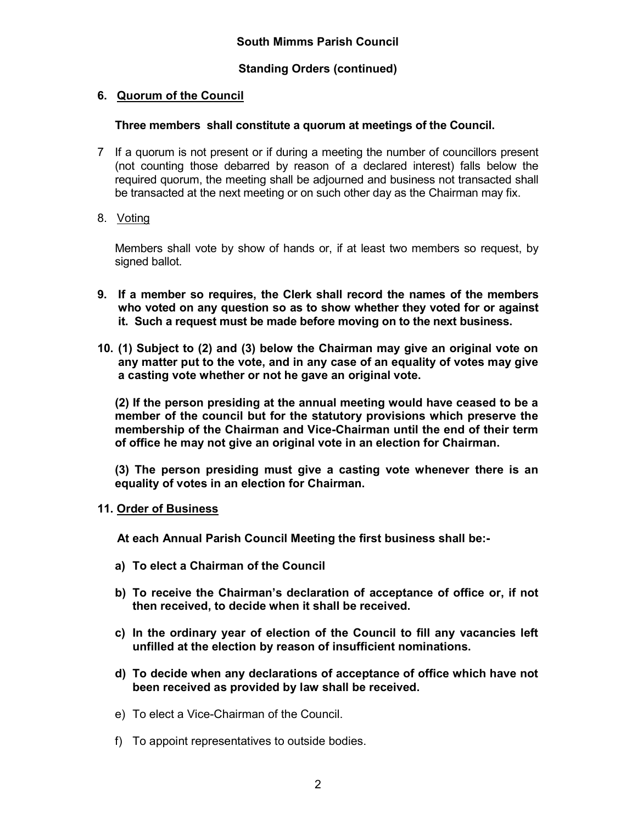# 6. Quorum of the Council

### Three members shall constitute a quorum at meetings of the Council.

- 7 If a quorum is not present or if during a meeting the number of councillors present (not counting those debarred by reason of a declared interest) falls below the required quorum, the meeting shall be adjourned and business not transacted shall be transacted at the next meeting or on such other day as the Chairman may fix.
- 8. Voting

Members shall vote by show of hands or, if at least two members so request, by signed ballot.

- 9. If a member so requires, the Clerk shall record the names of the members who voted on any question so as to show whether they voted for or against it. Such a request must be made before moving on to the next business.
- 10. (1) Subject to (2) and (3) below the Chairman may give an original vote on any matter put to the vote, and in any case of an equality of votes may give a casting vote whether or not he gave an original vote.

(2) If the person presiding at the annual meeting would have ceased to be a member of the council but for the statutory provisions which preserve the membership of the Chairman and Vice-Chairman until the end of their term of office he may not give an original vote in an election for Chairman.

(3) The person presiding must give a casting vote whenever there is an equality of votes in an election for Chairman.

11. Order of Business

At each Annual Parish Council Meeting the first business shall be:-

- a) To elect a Chairman of the Council
- b) To receive the Chairman's declaration of acceptance of office or, if not then received, to decide when it shall be received.
- c) In the ordinary year of election of the Council to fill any vacancies left unfilled at the election by reason of insufficient nominations.
- d) To decide when any declarations of acceptance of office which have not been received as provided by law shall be received.
- e) To elect a Vice-Chairman of the Council.
- f) To appoint representatives to outside bodies.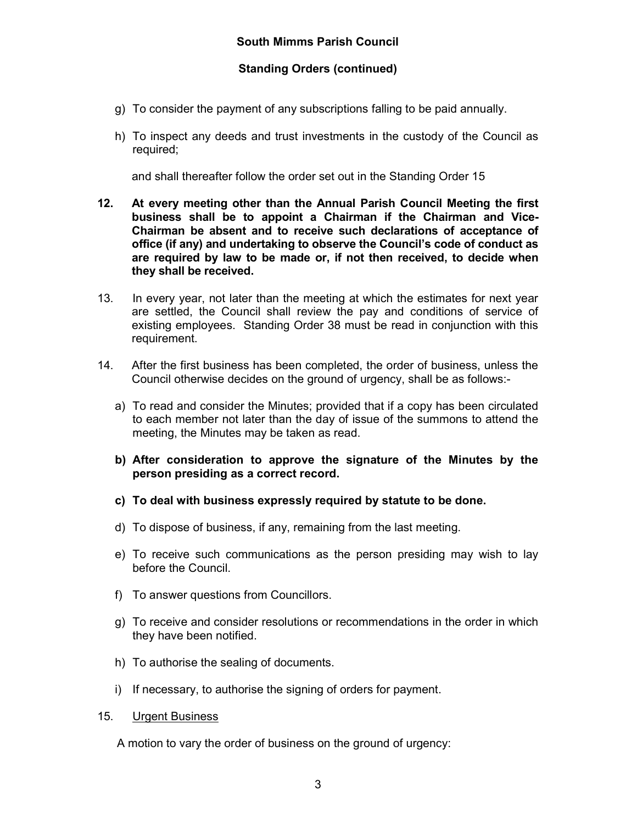- g) To consider the payment of any subscriptions falling to be paid annually.
- h) To inspect any deeds and trust investments in the custody of the Council as required;

and shall thereafter follow the order set out in the Standing Order 15

- 12. At every meeting other than the Annual Parish Council Meeting the first business shall be to appoint a Chairman if the Chairman and Vice-Chairman be absent and to receive such declarations of acceptance of office (if any) and undertaking to observe the Council's code of conduct as are required by law to be made or, if not then received, to decide when they shall be received.
- 13. In every year, not later than the meeting at which the estimates for next year are settled, the Council shall review the pay and conditions of service of existing employees. Standing Order 38 must be read in conjunction with this requirement.
- 14. After the first business has been completed, the order of business, unless the Council otherwise decides on the ground of urgency, shall be as follows:
	- a) To read and consider the Minutes; provided that if a copy has been circulated to each member not later than the day of issue of the summons to attend the meeting, the Minutes may be taken as read.
	- b) After consideration to approve the signature of the Minutes by the person presiding as a correct record.
	- c) To deal with business expressly required by statute to be done.
	- d) To dispose of business, if any, remaining from the last meeting.
	- e) To receive such communications as the person presiding may wish to lay before the Council.
	- f) To answer questions from Councillors.
	- g) To receive and consider resolutions or recommendations in the order in which they have been notified.
	- h) To authorise the sealing of documents.
	- i) If necessary, to authorise the signing of orders for payment.
- 15. Urgent Business

A motion to vary the order of business on the ground of urgency: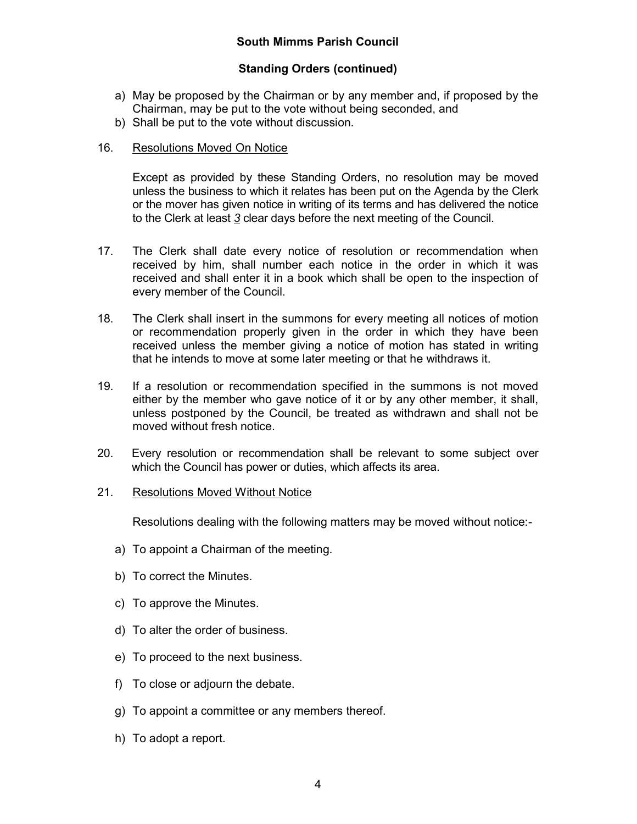# Standing Orders (continued)

- a) May be proposed by the Chairman or by any member and, if proposed by the Chairman, may be put to the vote without being seconded, and
- b) Shall be put to the vote without discussion.

# 16. Resolutions Moved On Notice

 Except as provided by these Standing Orders, no resolution may be moved unless the business to which it relates has been put on the Agenda by the Clerk or the mover has given notice in writing of its terms and has delivered the notice to the Clerk at least 3 clear days before the next meeting of the Council.

- 17. The Clerk shall date every notice of resolution or recommendation when received by him, shall number each notice in the order in which it was received and shall enter it in a book which shall be open to the inspection of every member of the Council.
- 18. The Clerk shall insert in the summons for every meeting all notices of motion or recommendation properly given in the order in which they have been received unless the member giving a notice of motion has stated in writing that he intends to move at some later meeting or that he withdraws it.
- 19. If a resolution or recommendation specified in the summons is not moved either by the member who gave notice of it or by any other member, it shall, unless postponed by the Council, be treated as withdrawn and shall not be moved without fresh notice.
- 20. Every resolution or recommendation shall be relevant to some subject over which the Council has power or duties, which affects its area.
- 21. Resolutions Moved Without Notice

Resolutions dealing with the following matters may be moved without notice:-

- a) To appoint a Chairman of the meeting.
- b) To correct the Minutes.
- c) To approve the Minutes.
- d) To alter the order of business.
- e) To proceed to the next business.
- f) To close or adjourn the debate.
- g) To appoint a committee or any members thereof.
- h) To adopt a report.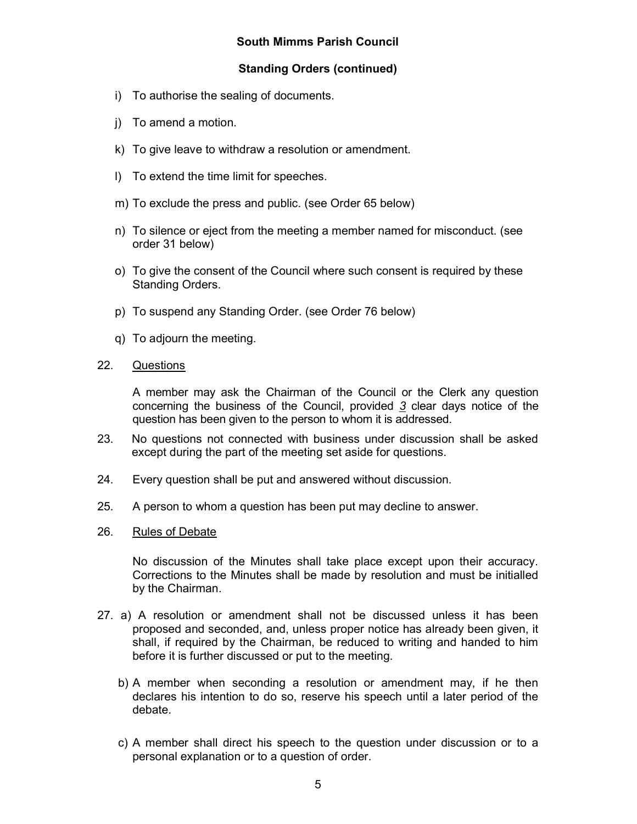# Standing Orders (continued)

- i) To authorise the sealing of documents.
- j) To amend a motion.
- k) To give leave to withdraw a resolution or amendment.
- l) To extend the time limit for speeches.
- m) To exclude the press and public. (see Order 65 below)
- n) To silence or eject from the meeting a member named for misconduct. (see order 31 below)
- o) To give the consent of the Council where such consent is required by these Standing Orders.
- p) To suspend any Standing Order. (see Order 76 below)
- q) To adjourn the meeting.
- 22. Questions

A member may ask the Chairman of the Council or the Clerk any question concerning the business of the Council, provided 3 clear days notice of the question has been given to the person to whom it is addressed.

- 23. No questions not connected with business under discussion shall be asked except during the part of the meeting set aside for questions.
- 24. Every question shall be put and answered without discussion.
- 25. A person to whom a question has been put may decline to answer.
- 26. Rules of Debate

No discussion of the Minutes shall take place except upon their accuracy. Corrections to the Minutes shall be made by resolution and must be initialled by the Chairman.

- 27. a) A resolution or amendment shall not be discussed unless it has been proposed and seconded, and, unless proper notice has already been given, it shall, if required by the Chairman, be reduced to writing and handed to him before it is further discussed or put to the meeting.
	- b) A member when seconding a resolution or amendment may, if he then declares his intention to do so, reserve his speech until a later period of the debate.
	- c) A member shall direct his speech to the question under discussion or to a personal explanation or to a question of order.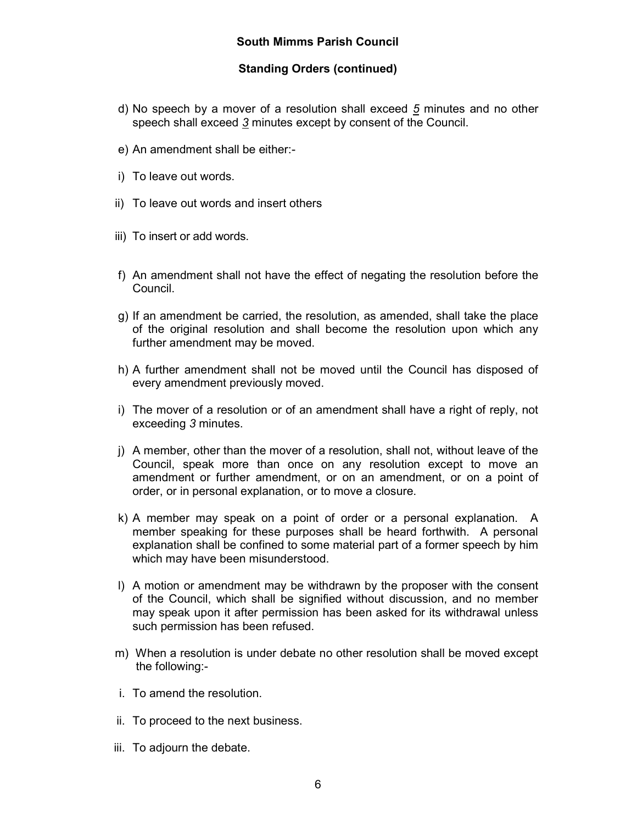- d) No speech by a mover of a resolution shall exceed 5 minutes and no other speech shall exceed 3 minutes except by consent of the Council.
- e) An amendment shall be either:-
- i) To leave out words.
- ii) To leave out words and insert others
- iii) To insert or add words.
- f) An amendment shall not have the effect of negating the resolution before the Council.
- g) If an amendment be carried, the resolution, as amended, shall take the place of the original resolution and shall become the resolution upon which any further amendment may be moved.
- h) A further amendment shall not be moved until the Council has disposed of every amendment previously moved.
- i) The mover of a resolution or of an amendment shall have a right of reply, not exceeding 3 minutes.
- j) A member, other than the mover of a resolution, shall not, without leave of the Council, speak more than once on any resolution except to move an amendment or further amendment, or on an amendment, or on a point of order, or in personal explanation, or to move a closure.
- k) A member may speak on a point of order or a personal explanation. A member speaking for these purposes shall be heard forthwith. A personal explanation shall be confined to some material part of a former speech by him which may have been misunderstood.
- l) A motion or amendment may be withdrawn by the proposer with the consent of the Council, which shall be signified without discussion, and no member may speak upon it after permission has been asked for its withdrawal unless such permission has been refused.
- m) When a resolution is under debate no other resolution shall be moved except the following:-
- i. To amend the resolution.
- ii. To proceed to the next business.
- iii. To adjourn the debate.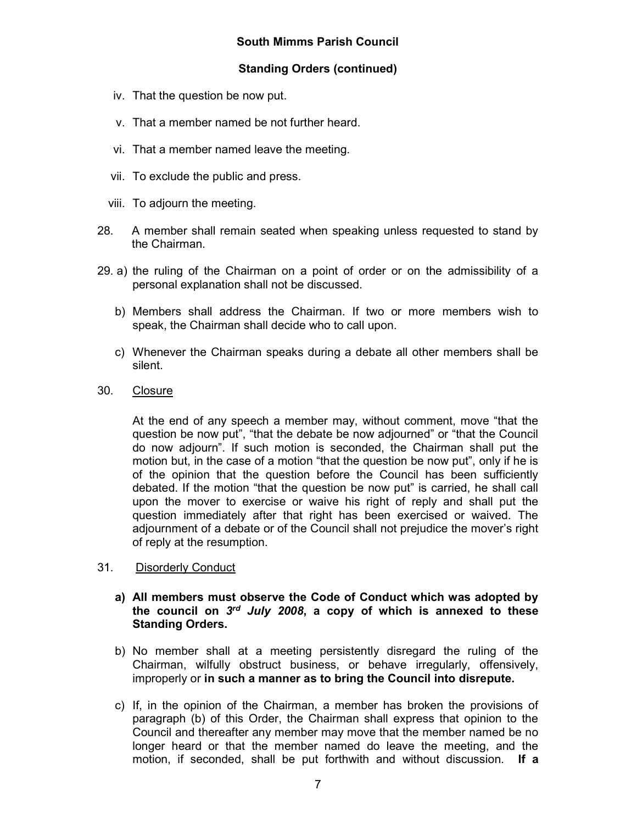# Standing Orders (continued)

- iv. That the question be now put.
- v. That a member named be not further heard.
- vi. That a member named leave the meeting.
- vii. To exclude the public and press.
- viii. To adjourn the meeting.
- 28. A member shall remain seated when speaking unless requested to stand by the Chairman.
- 29. a) the ruling of the Chairman on a point of order or on the admissibility of a personal explanation shall not be discussed.
	- b) Members shall address the Chairman. If two or more members wish to speak, the Chairman shall decide who to call upon.
	- c) Whenever the Chairman speaks during a debate all other members shall be silent.
- 30. Closure

At the end of any speech a member may, without comment, move "that the question be now put", "that the debate be now adjourned" or "that the Council do now adjourn". If such motion is seconded, the Chairman shall put the motion but, in the case of a motion "that the question be now put", only if he is of the opinion that the question before the Council has been sufficiently debated. If the motion "that the question be now put" is carried, he shall call upon the mover to exercise or waive his right of reply and shall put the question immediately after that right has been exercised or waived. The adjournment of a debate or of the Council shall not prejudice the mover's right of reply at the resumption.

- 31. Disorderly Conduct
	- a) All members must observe the Code of Conduct which was adopted by the council on  $3^{rd}$  July 2008, a copy of which is annexed to these Standing Orders.
	- b) No member shall at a meeting persistently disregard the ruling of the Chairman, wilfully obstruct business, or behave irregularly, offensively, improperly or in such a manner as to bring the Council into disrepute.
	- c) If, in the opinion of the Chairman, a member has broken the provisions of paragraph (b) of this Order, the Chairman shall express that opinion to the Council and thereafter any member may move that the member named be no longer heard or that the member named do leave the meeting, and the motion, if seconded, shall be put forthwith and without discussion. If a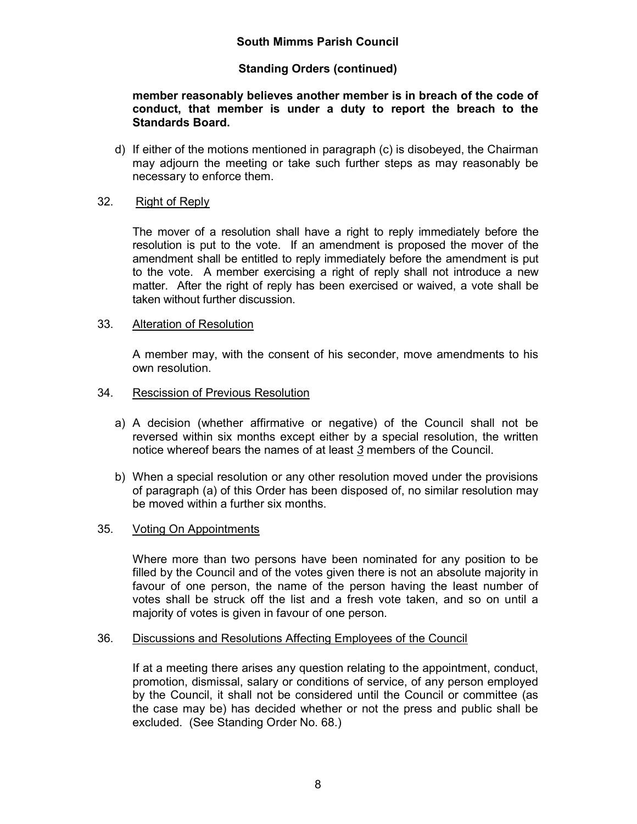# Standing Orders (continued)

### member reasonably believes another member is in breach of the code of conduct, that member is under a duty to report the breach to the Standards Board.

d) If either of the motions mentioned in paragraph (c) is disobeyed, the Chairman may adjourn the meeting or take such further steps as may reasonably be necessary to enforce them.

### 32. Right of Reply

 The mover of a resolution shall have a right to reply immediately before the resolution is put to the vote. If an amendment is proposed the mover of the amendment shall be entitled to reply immediately before the amendment is put to the vote. A member exercising a right of reply shall not introduce a new matter. After the right of reply has been exercised or waived, a vote shall be taken without further discussion.

#### 33. Alteration of Resolution

A member may, with the consent of his seconder, move amendments to his own resolution.

#### 34. Rescission of Previous Resolution

- a) A decision (whether affirmative or negative) of the Council shall not be reversed within six months except either by a special resolution, the written notice whereof bears the names of at least 3 members of the Council.
- b) When a special resolution or any other resolution moved under the provisions of paragraph (a) of this Order has been disposed of, no similar resolution may be moved within a further six months.

### 35. Voting On Appointments

Where more than two persons have been nominated for any position to be filled by the Council and of the votes given there is not an absolute majority in favour of one person, the name of the person having the least number of votes shall be struck off the list and a fresh vote taken, and so on until a majority of votes is given in favour of one person.

### 36. Discussions and Resolutions Affecting Employees of the Council

If at a meeting there arises any question relating to the appointment, conduct, promotion, dismissal, salary or conditions of service, of any person employed by the Council, it shall not be considered until the Council or committee (as the case may be) has decided whether or not the press and public shall be excluded. (See Standing Order No. 68.)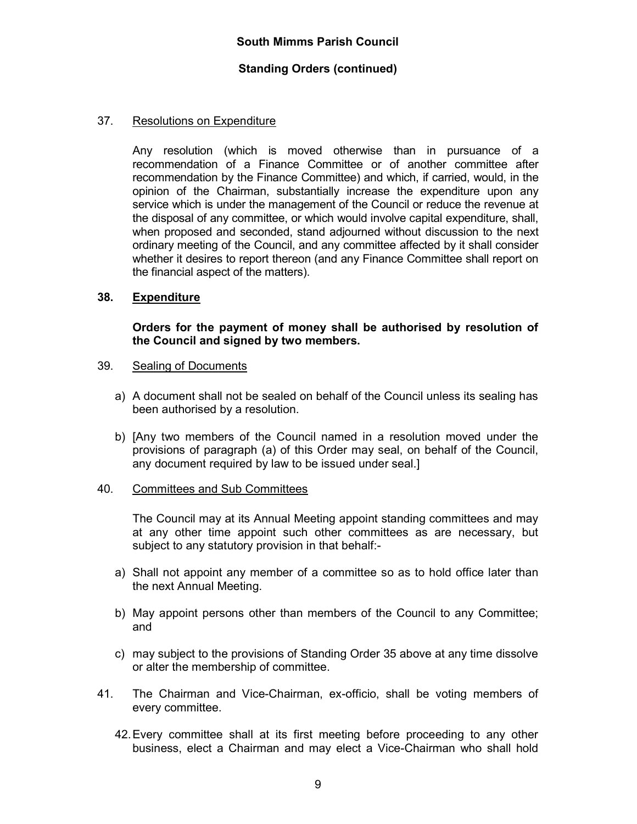### 37. Resolutions on Expenditure

 Any resolution (which is moved otherwise than in pursuance of a recommendation of a Finance Committee or of another committee after recommendation by the Finance Committee) and which, if carried, would, in the opinion of the Chairman, substantially increase the expenditure upon any service which is under the management of the Council or reduce the revenue at the disposal of any committee, or which would involve capital expenditure, shall, when proposed and seconded, stand adjourned without discussion to the next ordinary meeting of the Council, and any committee affected by it shall consider whether it desires to report thereon (and any Finance Committee shall report on the financial aspect of the matters).

### 38. Expenditure

#### Orders for the payment of money shall be authorised by resolution of the Council and signed by two members.

#### 39. Sealing of Documents

- a) A document shall not be sealed on behalf of the Council unless its sealing has been authorised by a resolution.
- b) [Any two members of the Council named in a resolution moved under the provisions of paragraph (a) of this Order may seal, on behalf of the Council, any document required by law to be issued under seal.]

#### 40. Committees and Sub Committees

The Council may at its Annual Meeting appoint standing committees and may at any other time appoint such other committees as are necessary, but subject to any statutory provision in that behalf:-

- a) Shall not appoint any member of a committee so as to hold office later than the next Annual Meeting.
- b) May appoint persons other than members of the Council to any Committee; and
- c) may subject to the provisions of Standing Order 35 above at any time dissolve or alter the membership of committee.
- 41. The Chairman and Vice-Chairman, ex-officio, shall be voting members of every committee.
	- 42. Every committee shall at its first meeting before proceeding to any other business, elect a Chairman and may elect a Vice-Chairman who shall hold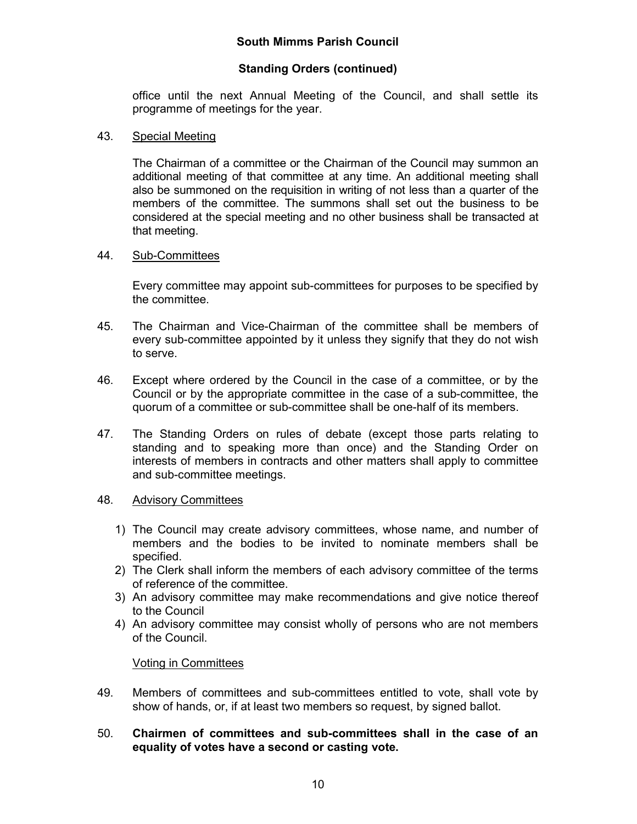# Standing Orders (continued)

office until the next Annual Meeting of the Council, and shall settle its programme of meetings for the year.

### 43. Special Meeting

 The Chairman of a committee or the Chairman of the Council may summon an additional meeting of that committee at any time. An additional meeting shall also be summoned on the requisition in writing of not less than a quarter of the members of the committee. The summons shall set out the business to be considered at the special meeting and no other business shall be transacted at that meeting.

#### 44. Sub-Committees

Every committee may appoint sub-committees for purposes to be specified by the committee.

- 45. The Chairman and Vice-Chairman of the committee shall be members of every sub-committee appointed by it unless they signify that they do not wish to serve.
- 46. Except where ordered by the Council in the case of a committee, or by the Council or by the appropriate committee in the case of a sub-committee, the quorum of a committee or sub-committee shall be one-half of its members.
- 47. The Standing Orders on rules of debate (except those parts relating to standing and to speaking more than once) and the Standing Order on interests of members in contracts and other matters shall apply to committee and sub-committee meetings.

### 48. Advisory Committees

- 1) The Council may create advisory committees, whose name, and number of members and the bodies to be invited to nominate members shall be specified.
- 2) The Clerk shall inform the members of each advisory committee of the terms of reference of the committee.
- 3) An advisory committee may make recommendations and give notice thereof to the Council
- 4) An advisory committee may consist wholly of persons who are not members of the Council.

### Voting in Committees

- 49. Members of committees and sub-committees entitled to vote, shall vote by show of hands, or, if at least two members so request, by signed ballot.
- 50. Chairmen of committees and sub-committees shall in the case of an equality of votes have a second or casting vote.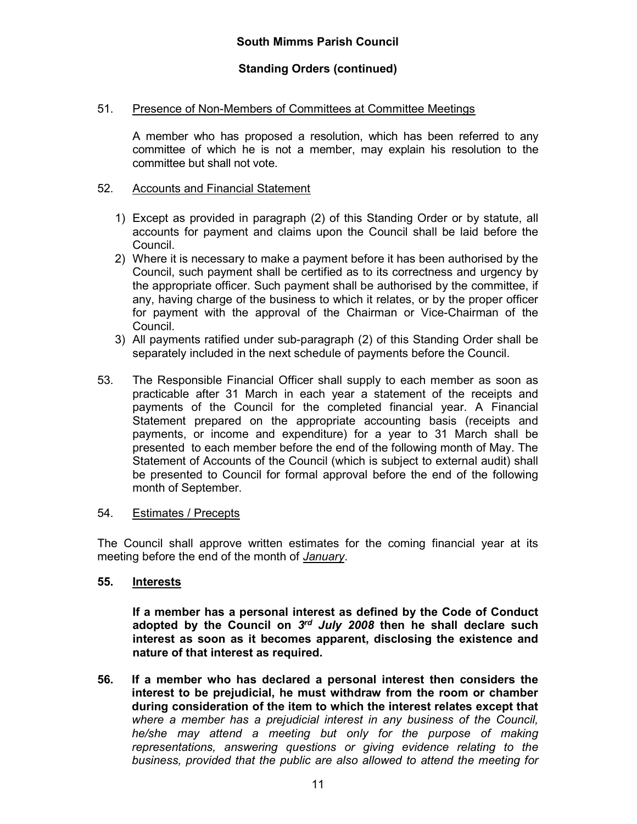#### 51. Presence of Non-Members of Committees at Committee Meetings

A member who has proposed a resolution, which has been referred to any committee of which he is not a member, may explain his resolution to the committee but shall not vote.

#### 52. Accounts and Financial Statement

- 1) Except as provided in paragraph (2) of this Standing Order or by statute, all accounts for payment and claims upon the Council shall be laid before the Council.
- 2) Where it is necessary to make a payment before it has been authorised by the Council, such payment shall be certified as to its correctness and urgency by the appropriate officer. Such payment shall be authorised by the committee, if any, having charge of the business to which it relates, or by the proper officer for payment with the approval of the Chairman or Vice-Chairman of the Council.
- 3) All payments ratified under sub-paragraph (2) of this Standing Order shall be separately included in the next schedule of payments before the Council.
- 53. The Responsible Financial Officer shall supply to each member as soon as practicable after 31 March in each year a statement of the receipts and payments of the Council for the completed financial year. A Financial Statement prepared on the appropriate accounting basis (receipts and payments, or income and expenditure) for a year to 31 March shall be presented to each member before the end of the following month of May. The Statement of Accounts of the Council (which is subject to external audit) shall be presented to Council for formal approval before the end of the following month of September.

#### 54. Estimates / Precepts

The Council shall approve written estimates for the coming financial year at its meeting before the end of the month of January.

#### 55. Interests

If a member has a personal interest as defined by the Code of Conduct adopted by the Council on 3rd July 2008 then he shall declare such interest as soon as it becomes apparent, disclosing the existence and nature of that interest as required.

56. If a member who has declared a personal interest then considers the interest to be prejudicial, he must withdraw from the room or chamber during consideration of the item to which the interest relates except that where a member has a prejudicial interest in any business of the Council, he/she may attend a meeting but only for the purpose of making representations, answering questions or giving evidence relating to the business, provided that the public are also allowed to attend the meeting for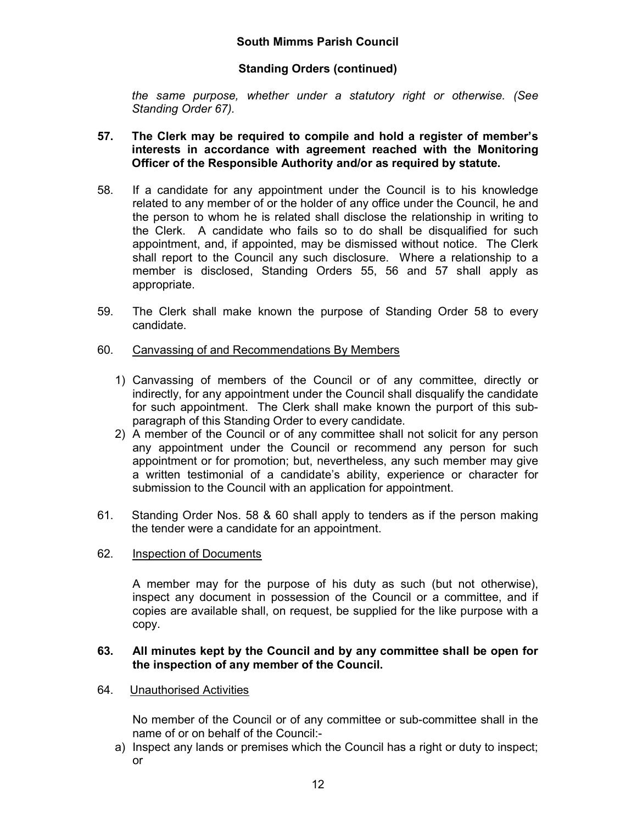# Standing Orders (continued)

the same purpose, whether under a statutory right or otherwise. (See Standing Order 67).

### 57. The Clerk may be required to compile and hold a register of member's interests in accordance with agreement reached with the Monitoring Officer of the Responsible Authority and/or as required by statute.

- 58. If a candidate for any appointment under the Council is to his knowledge related to any member of or the holder of any office under the Council, he and the person to whom he is related shall disclose the relationship in writing to the Clerk. A candidate who fails so to do shall be disqualified for such appointment, and, if appointed, may be dismissed without notice. The Clerk shall report to the Council any such disclosure. Where a relationship to a member is disclosed, Standing Orders 55, 56 and 57 shall apply as appropriate.
- 59. The Clerk shall make known the purpose of Standing Order 58 to every candidate.

#### 60. Canvassing of and Recommendations By Members

- 1) Canvassing of members of the Council or of any committee, directly or indirectly, for any appointment under the Council shall disqualify the candidate for such appointment. The Clerk shall make known the purport of this subparagraph of this Standing Order to every candidate.
- 2) A member of the Council or of any committee shall not solicit for any person any appointment under the Council or recommend any person for such appointment or for promotion; but, nevertheless, any such member may give a written testimonial of a candidate's ability, experience or character for submission to the Council with an application for appointment.
- 61. Standing Order Nos. 58 & 60 shall apply to tenders as if the person making the tender were a candidate for an appointment.

### 62. Inspection of Documents

A member may for the purpose of his duty as such (but not otherwise), inspect any document in possession of the Council or a committee, and if copies are available shall, on request, be supplied for the like purpose with a copy.

#### 63. All minutes kept by the Council and by any committee shall be open for the inspection of any member of the Council.

### 64. Unauthorised Activities

No member of the Council or of any committee or sub-committee shall in the name of or on behalf of the Council:-

a) Inspect any lands or premises which the Council has a right or duty to inspect; or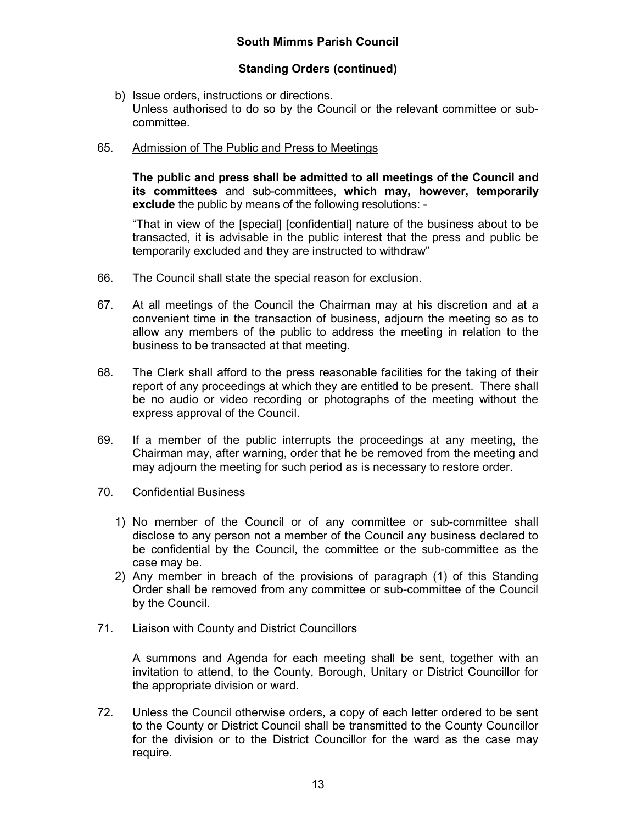- b) Issue orders, instructions or directions. Unless authorised to do so by the Council or the relevant committee or subcommittee.
- 65. Admission of The Public and Press to Meetings

The public and press shall be admitted to all meetings of the Council and its committees and sub-committees, which may, however, temporarily exclude the public by means of the following resolutions: -

"That in view of the [special] [confidential] nature of the business about to be transacted, it is advisable in the public interest that the press and public be temporarily excluded and they are instructed to withdraw"

- 66. The Council shall state the special reason for exclusion.
- 67. At all meetings of the Council the Chairman may at his discretion and at a convenient time in the transaction of business, adjourn the meeting so as to allow any members of the public to address the meeting in relation to the business to be transacted at that meeting.
- 68. The Clerk shall afford to the press reasonable facilities for the taking of their report of any proceedings at which they are entitled to be present. There shall be no audio or video recording or photographs of the meeting without the express approval of the Council.
- 69. If a member of the public interrupts the proceedings at any meeting, the Chairman may, after warning, order that he be removed from the meeting and may adjourn the meeting for such period as is necessary to restore order.
- 70. Confidential Business
	- 1) No member of the Council or of any committee or sub-committee shall disclose to any person not a member of the Council any business declared to be confidential by the Council, the committee or the sub-committee as the case may be.
	- 2) Any member in breach of the provisions of paragraph (1) of this Standing Order shall be removed from any committee or sub-committee of the Council by the Council.
- 71. Liaison with County and District Councillors

A summons and Agenda for each meeting shall be sent, together with an invitation to attend, to the County, Borough, Unitary or District Councillor for the appropriate division or ward.

72. Unless the Council otherwise orders, a copy of each letter ordered to be sent to the County or District Council shall be transmitted to the County Councillor for the division or to the District Councillor for the ward as the case may require.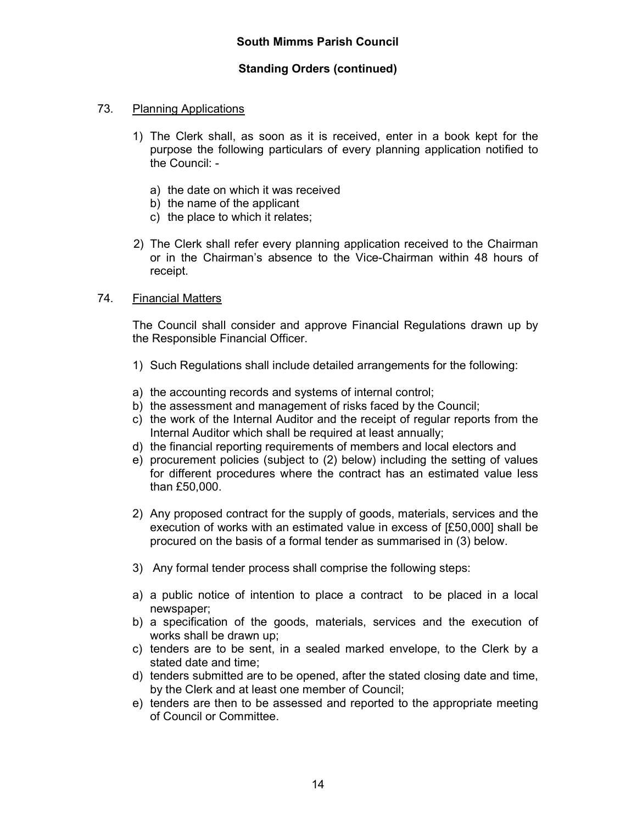- 73. Planning Applications
	- 1) The Clerk shall, as soon as it is received, enter in a book kept for the purpose the following particulars of every planning application notified to the Council:
		- a) the date on which it was received
		- b) the name of the applicant
		- c) the place to which it relates;
	- 2) The Clerk shall refer every planning application received to the Chairman or in the Chairman's absence to the Vice-Chairman within 48 hours of receipt.
- 74. Financial Matters

The Council shall consider and approve Financial Regulations drawn up by the Responsible Financial Officer.

- 1) Such Regulations shall include detailed arrangements for the following:
- a) the accounting records and systems of internal control;
- b) the assessment and management of risks faced by the Council;
- c) the work of the Internal Auditor and the receipt of regular reports from the Internal Auditor which shall be required at least annually;
- d) the financial reporting requirements of members and local electors and
- e) procurement policies (subject to (2) below) including the setting of values for different procedures where the contract has an estimated value less than £50,000.
- 2) Any proposed contract for the supply of goods, materials, services and the execution of works with an estimated value in excess of [£50,000] shall be procured on the basis of a formal tender as summarised in (3) below.
- 3) Any formal tender process shall comprise the following steps:
- a) a public notice of intention to place a contract to be placed in a local newspaper;
- b) a specification of the goods, materials, services and the execution of works shall be drawn up;
- c) tenders are to be sent, in a sealed marked envelope, to the Clerk by a stated date and time;
- d) tenders submitted are to be opened, after the stated closing date and time, by the Clerk and at least one member of Council;
- e) tenders are then to be assessed and reported to the appropriate meeting of Council or Committee.